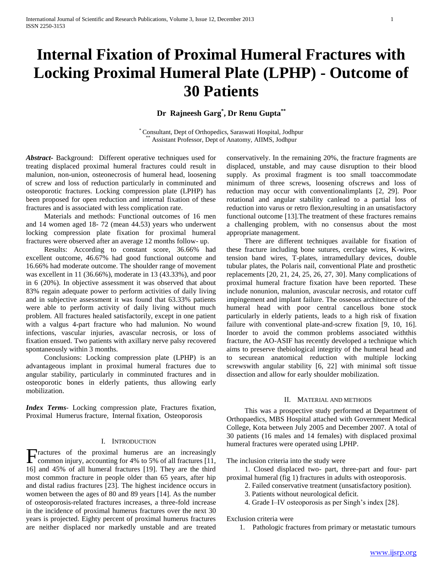# **Internal Fixation of Proximal Humeral Fractures with Locking Proximal Humeral Plate (LPHP) - Outcome of 30 Patients**

**Dr Rajneesh Garg\* , Dr Renu Gupta\*\***

\* Consultant, Dept of Orthopedics, Saraswati Hospital, Jodhpur Assistant Professor, Dept of Anatomy, AIIMS, Jodhpur

*Abstract***-** Background: Different operative techniques used for treating displaced proximal humeral fractures could result in malunion, non-union, osteonecrosis of humeral head, loosening of screw and loss of reduction particularly in comminuted and osteoporotic fractures. Locking compression plate (LPHP) has been proposed for open reduction and internal fixation of these fractures and is associated with less complication rate.

 Materials and methods: Functional outcomes of 16 men and 14 women aged 18- 72 (mean 44.53) years who underwent locking compression plate fixation for proximal humeral fractures were observed after an average 12 months follow- up.

 Results: According to constant score, 36.66% had excellent outcome, 46.67% had good functional outcome and 16.66% had moderate outcome. The shoulder range of movement was excellent in 11 (36.66%), moderate in 13 (43.33%), and poor in 6 (20%). In objective assessment it was observed that about 83% regain adequate power to perform activities of daily living and in subjective assessment it was found that 63.33% patients were able to perform activity of daily living without much problem. All fractures healed satisfactorily, except in one patient with a valgus 4-part fracture who had malunion. No wound infections, vascular injuries, avascular necrosis, or loss of fixation ensued. Two patients with axillary nerve palsy recovered spontaneously within 3 months.

 Conclusions: Locking compression plate (LPHP) is an advantageous implant in proximal humeral fractures due to angular stability, particularly in comminuted fractures and in osteoporotic bones in elderly patients, thus allowing early mobilization.

*Index Terms*- Locking compression plate, Fractures fixation, Proximal Humerus fracture, Internal fixation, Osteoporosis

# I. INTRODUCTION

ractures of the proximal humerus are an increasingly Fractures of the proximal humerus are an increasingly common injury, accounting for 4% to 5% of all fractures [11, 16] and 45% of all humeral fractures [19]. They are the third most common fracture in people older than 65 years, after hip and distal radius fractures [23]. The highest incidence occurs in women between the ages of 80 and 89 years [14]. As the number of osteoporosis-related fractures increases, a three-fold increase in the incidence of proximal humerus fractures over the next 30 years is projected. Eighty percent of proximal humerus fractures are neither displaced nor markedly unstable and are treated

conservatively. In the remaining 20%, the fracture fragments are displaced, unstable, and may cause disruption to their blood supply. As proximal fragment is too small toaccommodate minimum of three screws, loosening ofscrews and loss of reduction may occur with conventionalimplants [2, 29]. Poor rotational and angular stability canlead to a partial loss of reduction into varus or retro flexion,resulting in an unsatisfactory functional outcome [13].The treatment of these fractures remains a challenging problem, with no consensus about the most appropriate management.

 There are different techniques available for fixation of these fracture including bone sutures, cerclage wires, K-wires, tension band wires, T-plates, intramedullary devices, double tubular plates, the Polaris nail, conventional Plate and prosthetic replacements [20, 21, 24, 25, 26, 27, 30]. Many complications of proximal humeral fracture fixation have been reported. These include nonunion, malunion, avascular necrosis, and rotator cuff impingement and implant failure. The osseous architecture of the humeral head with poor central cancellous bone stock particularly in elderly patients, leads to a high risk of fixation failure with conventional plate-and-screw fixation [9, 10, 16]. Inorder to avoid the common problems associated withthis fracture, the AO-ASIF has recently developed a technique which aims to preserve thebiological integrity of the humeral head and to securean anatomical reduction with multiple locking screwswith angular stability [6, 22] with minimal soft tissue dissection and allow for early shoulder mobilization.

# II. MATERIAL AND METHODS

 This was a prospective study performed at Department of Orthopaedics, MBS Hospital attached with Government Medical College, Kota between July 2005 and December 2007. A total of 30 patients (16 males and 14 females) with displaced proximal humeral fractures were operated using LPHP.

The inclusion criteria into the study were

 1. Closed displaced two- part, three-part and four- part proximal humeral (fig 1) fractures in adults with osteoporosis.

- 2. Failed conservative treatment (unsatisfactory position).
- 3. Patients without neurological deficit.
- 4. Grade I–IV osteoporosis as per Singh's index [28].

Exclusion criteria were

1. Pathologic fractures from primary or metastatic tumours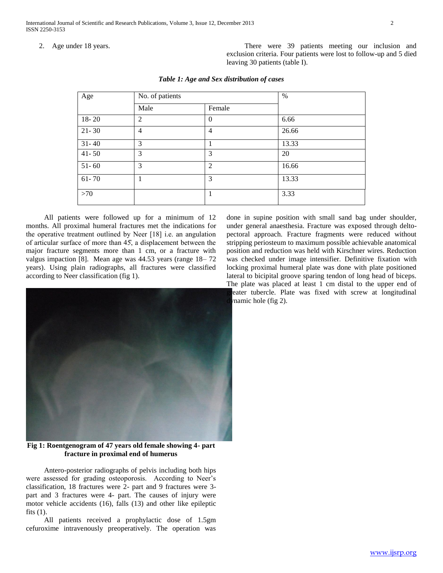International Journal of Scientific and Research Publications, Volume 3, Issue 12, December 2013 2 ISSN 2250-3153

2. Age under 18 years. There were 39 patients meeting our inclusion and exclusion criteria. Four patients were lost to follow-up and 5 died leaving 30 patients (table I).

| Age       | No. of patients |                | %     |
|-----------|-----------------|----------------|-------|
|           | Male            | Female         |       |
| $18 - 20$ | 2               | $\overline{0}$ | 6.66  |
| $21 - 30$ | 4               | 4              | 26.66 |
| $31 - 40$ | 3               | 1              | 13.33 |
| $41 - 50$ | 3               | 3              | 20    |
| $51 - 60$ | 3               | $\overline{2}$ | 16.66 |
| $61 - 70$ |                 | 3              | 13.33 |
| >70       |                 | 1              | 3.33  |

#### *Table 1: Age and Sex distribution of cases*

 All patients were followed up for a minimum of 12 months. All proximal humeral fractures met the indications for the operative treatment outlined by Neer  $[18]$  i.e. an angulation of articular surface of more than 45, a displacement between the major fracture segments more than 1 cm, or a fracture with valgus impaction [8]. Mean age was 44.53 years (range 18– 72 years). Using plain radiographs, all fractures were classified according to Neer classification (fig 1).



**Fig 1: Roentgenogram of 47 years old female showing 4- part fracture in proximal end of humerus**

 Antero-posterior radiographs of pelvis including both hips were assessed for grading osteoporosis. According to Neer's classification, 18 fractures were 2- part and 9 fractures were 3 part and 3 fractures were 4- part. The causes of injury were motor vehicle accidents (16), falls (13) and other like epileptic fits  $(1)$ .

 All patients received a prophylactic dose of 1.5gm cefuroxime intravenously preoperatively. The operation was

done in supine position with small sand bag under shoulder, under general anaesthesia. Fracture was exposed through deltopectoral approach. Fracture fragments were reduced without stripping periosteum to maximum possible achievable anatomical position and reduction was held with Kirschner wires. Reduction was checked under image intensifier. Definitive fixation with locking proximal humeral plate was done with plate positioned lateral to bicipital groove sparing tendon of long head of biceps. The plate was placed at least 1 cm distal to the upper end of eater tubercle. Plate was fixed with screw at longitudinal  $r$  mamic hole (fig 2).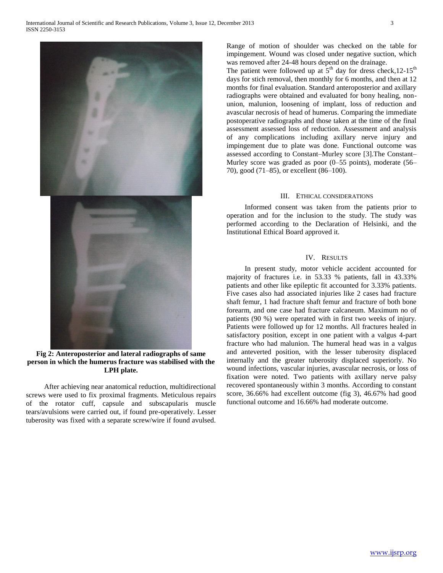

**Fig 2: Anteroposterior and lateral radiographs of same person in which the humerus fracture was stabilised with the LPH plate.**

 After achieving near anatomical reduction, multidirectional screws were used to fix proximal fragments. Meticulous repairs of the rotator cuff, capsule and subscapularis muscle tears/avulsions were carried out, if found pre-operatively. Lesser tuberosity was fixed with a separate screw/wire if found avulsed.

Range of motion of shoulder was checked on the table for impingement. Wound was closed under negative suction, which was removed after 24-48 hours depend on the drainage.

The patient were followed up at  $5<sup>th</sup>$  day for dress check, 12-15<sup>th</sup> days for stich removal, then monthly for 6 months, and then at 12 months for final evaluation. Standard anteroposterior and axillary radiographs were obtained and evaluated for bony healing, nonunion, malunion, loosening of implant, loss of reduction and avascular necrosis of head of humerus. Comparing the immediate postoperative radiographs and those taken at the time of the final assessment assessed loss of reduction. Assessment and analysis of any complications including axillary nerve injury and impingement due to plate was done. Functional outcome was assessed according to Constant–Murley score [3].The Constant– Murley score was graded as poor (0–55 points), moderate (56– 70), good (71–85), or excellent (86–100).

# III. ETHICAL CONSIDERATIONS

 Informed consent was taken from the patients prior to operation and for the inclusion to the study. The study was performed according to the Declaration of Helsinki, and the Institutional Ethical Board approved it.

# IV. RESULTS

 In present study, motor vehicle accident accounted for majority of fractures i.e. in 53.33 % patients, fall in 43.33% patients and other like epileptic fit accounted for 3.33% patients. Five cases also had associated injuries like 2 cases had fracture shaft femur, 1 had fracture shaft femur and fracture of both bone forearm, and one case had fracture calcaneum. Maximum no of patients (90 %) were operated with in first two weeks of injury. Patients were followed up for 12 months. All fractures healed in satisfactory position, except in one patient with a valgus 4-part fracture who had malunion. The humeral head was in a valgus and anteverted position, with the lesser tuberosity displaced internally and the greater tuberosity displaced superiorly. No wound infections, vascular injuries, avascular necrosis, or loss of fixation were noted. Two patients with axillary nerve palsy recovered spontaneously within 3 months. According to constant score, 36.66% had excellent outcome (fig 3), 46.67% had good functional outcome and 16.66% had moderate outcome.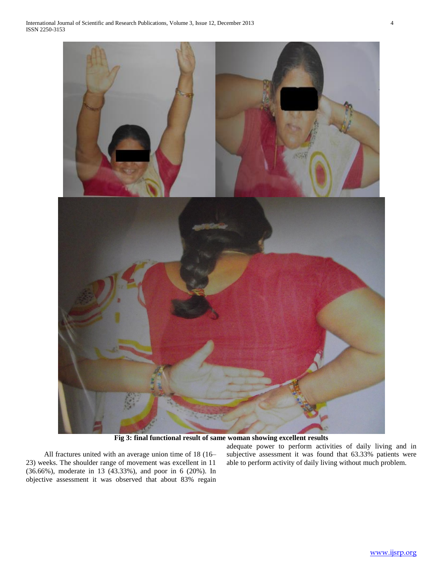

**Fig 3: final functional result of same woman showing excellent results**

 All fractures united with an average union time of 18 (16– 23) weeks. The shoulder range of movement was excellent in 11 (36.66%), moderate in 13 (43.33%), and poor in 6 (20%). In objective assessment it was observed that about 83% regain adequate power to perform activities of daily living and in subjective assessment it was found that 63.33% patients were able to perform activity of daily living without much problem.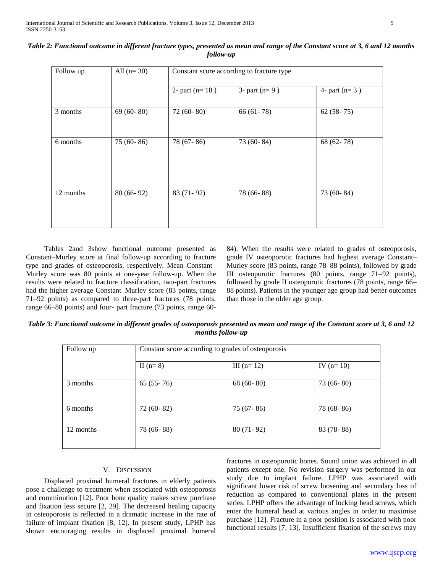| Follow up | All $(n=30)$ | Constant score according to fracture type |                 |                 |  |
|-----------|--------------|-------------------------------------------|-----------------|-----------------|--|
|           |              | 2- part ( $n=18$ )                        | 3- part $(n=9)$ | 4- part $(n=3)$ |  |
| 3 months  | $69(60-80)$  | 72 (60-80)                                | $66(61-78)$     | $62(58-75)$     |  |
| 6 months  | $75(60-86)$  | 78 (67-86)                                | 73 (60-84)      | 68 $(62 - 78)$  |  |
| 12 months | $80(66-92)$  | 83 (71-92)                                | 78 (66-88)      | 73 (60-84)      |  |

| Table 2: Functional outcome in different fracture types, presented as mean and range of the Constant score at 3, 6 and 12 months |
|----------------------------------------------------------------------------------------------------------------------------------|
| follow-up                                                                                                                        |

 Tables 2and 3show functional outcome presented as Constant–Murley score at final follow-up according to fracture type and grades of osteoporosis, respectively. Mean Constant– Murley score was 80 points at one-year follow-up. When the results were related to fracture classification, two-part fractures had the higher average Constant–Murley score (83 points, range 71–92 points) as compared to three-part fractures (78 points, range 66–88 points) and four- part fracture (73 points, range 6084). When the results were related to grades of osteoporosis, grade IV osteoporotic fractures had highest average Constant– Murley score (83 points, range 78–88 points), followed by grade III osteoporotic fractures (80 points, range 71–92 points), followed by grade II osteoporotic fractures (78 points, range 66– 88 points). Patients in the younger age group had better outcomes than those in the older age group.

*Table 3: Functional outcome in different grades of osteoporosis presented as mean and range of the Constant score at 3, 6 and 12 months follow-up*

| Follow up | Constant score according to grades of osteoporosis |              |             |  |
|-----------|----------------------------------------------------|--------------|-------------|--|
|           | II $(n=8)$                                         | III $(n=12)$ | IV $(n=10)$ |  |
| 3 months  | $65(55-76)$                                        | $68(60-80)$  | $73(66-80)$ |  |
| 6 months  | $72(60-82)$                                        | $75(67-86)$  | 78 (68-86)  |  |
| 12 months | 78 (66-88)                                         | $80(71-92)$  | $83(78-88)$ |  |

# V. DISCUSSION

 Displaced proximal humeral fractures in elderly patients pose a challenge to treatment when associated with osteoporosis and comminution [12]. Poor bone quality makes screw purchase and fixation less secure [2, 29]. The decreased healing capacity in osteoporosis is reflected in a dramatic increase in the rate of failure of implant fixation [8, 12]. In present study, LPHP has shown encouraging results in displaced proximal humeral

fractures in osteoporotic bones. Sound union was achieved in all patients except one. No revision surgery was performed in our study due to implant failure. LPHP was associated with significant lower risk of screw loosening and secondary loss of reduction as compared to conventional plates in the present series. LPHP offers the advantage of locking head screws, which enter the humeral head at various angles in order to maximise purchase [12]. Fracture in a poor position is associated with poor functional results [7, 13]. Insufficient fixation of the screws may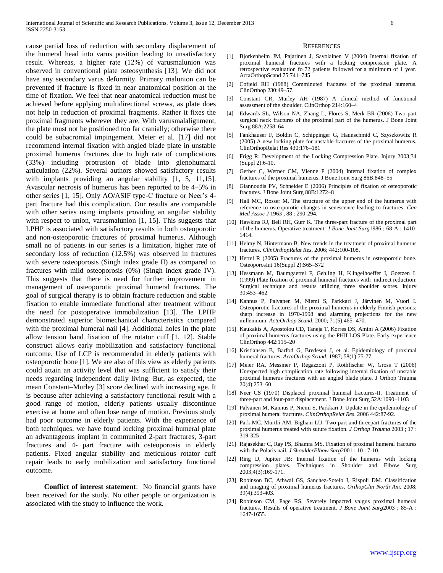cause partial loss of reduction with secondary displacement of the humeral head into varus position leading to unsatisfactory result. Whereas, a higher rate (12%) of varusmalunion was observed in conventional plate osteosynthesis [13]. We did not have any secondary varus deformity. Primary malunion can be prevented if fracture is fixed in near anatomical position at the time of fixation. We feel that near anatomical reduction must be achieved before applying multidirectional screws, as plate does not help in reduction of proximal fragments. Rather it fixes the proximal fragments wherever they are. With varusmalalignment, the plate must not be positioned too far cranially; otherwise there could be subacromial impingement. Meier et al. [17] did not recommend internal fixation with angled blade plate in unstable proximal humerus fractures due to high rate of complications (33%) including protrusion of blade into glenohumaral articulation (22%). Several authors showed satisfactory results with implants providing an angular stability  $[1, 5, 11, 15]$ . Avascular necrosis of humerus has been reported to be 4–5% in other series [1, 15]. Only AO/ASIF type-C fracture or Neer's 4part fracture had this complication. Our results are comparable with other series using implants providing an angular stability with respect to union, varusmalunion [1, 15]. This suggests that LPHP is associated with satisfactory results in both osteoporotic and non-osteoporotic fractures of proximal humerus. Although small no of patients in our series is a limitation, higher rate of secondary loss of reduction (12.5%) was observed in fractures with severe osteoporosis (Singh index grade II) as compared to fractures with mild osteoporosis (0%) (Singh index grade IV). This suggests that there is need for further improvement in management of osteoporotic proximal humeral fractures. The goal of surgical therapy is to obtain fracture reduction and stable fixation to enable immediate functional after treatment without the need for postoperative immobilization [13]. The LPHP demonstrated superior biomechanical characteristics compared with the proximal humeral nail [4]. Additional holes in the plate allow tension band fixation of the rotator cuff [1, 12]. Stable construct allows early mobilization and satisfactory functional outcome. Use of LCP is recommended in elderly patients with osteoporotic bone [1]. We are also of this view as elderly patients could attain an activity level that was sufficient to satisfy their needs regarding independent daily living. But, as expected, the mean Constant–Murley [3] score declined with increasing age. It is because after achieving a satisfactory functional result with a good range of motion, elderly patients usually discontinue exercise at home and often lose range of motion. Previous study had poor outcome in elderly patients. With the experience of both techniques, we have found locking proximal humeral plate an advantageous implant in communited 2-part fractures, 3-part fractures and 4- part fracture with osteoporosis in elderly patients. Fixed angular stability and meticulous rotator cuff repair leads to early mobilization and satisfactory functional outcome.

 **Conflict of interest statement**: No financial grants have been received for the study. No other people or organization is associated with the study to influence the work.

#### **REFERENCES**

- [1] Bjorkenheim JM, Pajarinen J, Savolainen V (2004) Internal fixation of proximal humeral fractures with a locking compression plate. A retrospective evaluation fo 72 patients followed for a minimum of 1 year. ActaOrthopScand 75:741–745
- [2] Cofield RH (1988) Comminuted fractures of the proximal humerus. ClinOrthop 230:49–57.
- [3] Constant CR, Murley AH (1987) A clinical method of functional assessment of the shoulder. ClinOrthop 214:160–4
- [4] Edwards SL, Wilson NA, Zhang L, Flores S, Merk BR (2006) Two-part surgical neck fractures of the proximal part of the humerus. J Bone Joint Surg 88A:2258–64
- [5] Fankhauser F, Boldin C, Schippinger G, Haunschmid C, Szyszkowitz R (2005) A new locking plate for unstable fractures of the proximal humerus. ClinOrthopRelat Res 430:176–181
- [6] Frigg R: Development of the Locking Compression Plate. Injury 2003;34 (Suppl 2):6-10.
- [7] Gerber C, Werner CM, Vienne P (2004) Internal fixation of complex fractures of the proximal humerus. J Bone Joint Surg 86B:848–55
- [8] Giannoudis PV, Schneider E (2006) Principles of fixation of osteoporotic fractures. J Bone Joint Surg 88B:1272–8
- [9] Hall MC, Rosser M. The structure of the upper end of the humerus with reference to osteoporotic changes in senescence leading to fractures. *Can Med Assoc J* 1963 ; 88 : 290-294.
- [10] Hawkins RJ, Bell RH, Gurr K. The three-part fracture of the proximal part of the humerus. Operative treatment. *J Bone Joint Surg*1986 ; 68-A : 1410- 1414.
- [11] Helmy N, Hintermann B. New trends in the treatment of proximal humerus fractures. *ClinOrthopRelat Res*. 2006; 442:100-108.
- [12] Hertel R (2005) Fractures of the proximal humerus in osteoporotic bone. OsteoporosInt 16(Suppl 2):S65–S72
- [13] Hessmann M, Baumgaertel F, Gehling H, Klingelhoeffer I, Goetzen L (1999) Plate fixation of proximal humeral fractures with indirect reduction: Surgical technique and results utilizing three shoulder scores. Injury 30:453–462
- [14] Kannus P, Palvanen M, Niemi S, Parkkari J, Järvinen M, Vuori I. Osteoporotic fractures of the proximal humerus in elderly Finnish persons: sharp increase in 1970-1998 and alarming projections for the new millennium. *ActaOrthop Scand*. 2000; 71(5):465- 470.
- [15] Kaukakis A, Apostolou CD, Taneja T, Korres DS, Amini A (2006) Fixation of proximal humerus fractures using the PHILLOS Plate. Early experience ClinOrthop 442:115–20
- [16] Kristiansen B, Barfod G, Bredesen J, et al. Epidemiology of proximal humeral fractures. *ActaOrthop Scand*. 1987; 58(1):75-77.
- [17] Meier RA, Messmer P, Regazzoni P, Rothfischer W, Gross T (2006) Unexpected high complication rate following internal fixation of unstable proximal humerus fractures with an angled blade plate. J Orthop Trauma 20(4):253–60
- [18] Neer CS (1970) Displaced proximal humeral fractures-II. Treatment of three-part and four-part displacement. J Bone Joint Surg 52A:1090–1103
- [19] Palvanen M, Kannus P, Niemi S, Parkkari J. Update in the epidemiology of proximal humeral fractures. *ClinOrthopRelat Res*. 2006 442:87-92.
- [20] Park MC, Murthi AM, Bigliani LU. Two-part and threepart fractures of the proximal humerus treated with suture fixation. *J Orthop Trauma* 2003 ; 17 : 319-325
- [21] Rajasekhar C, Ray PS, Bhamra MS. Fixation of proximal humeral fractures with the Polaris nail. *J ShoulderElbow Surg*2001 ; 10 : 7-10.
- [22] Ring D, Jupiter JB: Internal fixation of the humerus with locking compression plates. Techniques in Shoulder and Elbow Surg 2003;4(3):169-171.
- [23] Robinson BC, Athwal GS, Sanchez-Sotelo J, Rispoli DM. Classification and imaging of proximal humerus fractures. *OrthopClin North Am*. 2008; 39(4):393-403.
- [24] Robinson CM, Page RS. Severely impacted valgus proximal humeral fractures. Results of operative treatment. *J Bone Joint Surg*2003 ; 85-A : 1647-1655.